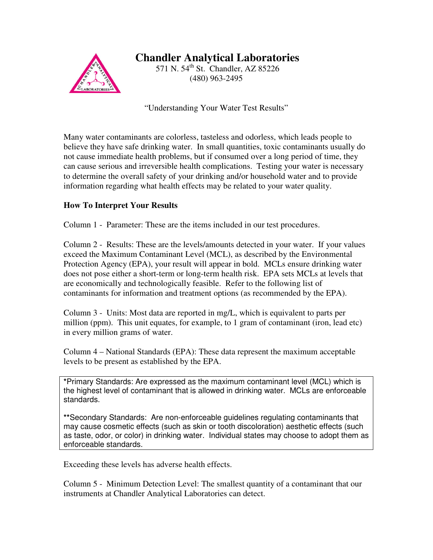

# **Chandler Analytical Laboratories**

571 N.  $54^{\text{th}}$  St. Chandler, AZ 85226 (480) 963-2495

"Understanding Your Water Test Results"

Many water contaminants are colorless, tasteless and odorless, which leads people to believe they have safe drinking water. In small quantities, toxic contaminants usually do not cause immediate health problems, but if consumed over a long period of time, they can cause serious and irreversible health complications. Testing your water is necessary to determine the overall safety of your drinking and/or household water and to provide information regarding what health effects may be related to your water quality.

# **How To Interpret Your Results**

Column 1 - Parameter: These are the items included in our test procedures.

Column 2 - Results: These are the levels/amounts detected in your water. If your values exceed the Maximum Contaminant Level (MCL), as described by the Environmental Protection Agency (EPA), your result will appear in bold. MCLs ensure drinking water does not pose either a short-term or long-term health risk. EPA sets MCLs at levels that are economically and technologically feasible. Refer to the following list of contaminants for information and treatment options (as recommended by the EPA).

Column 3 - Units: Most data are reported in mg/L, which is equivalent to parts per million (ppm). This unit equates, for example, to 1 gram of contaminant (iron, lead etc) in every million grams of water.

Column 4 – National Standards (EPA): These data represent the maximum acceptable levels to be present as established by the EPA.

**\***Primary Standards: Are expressed as the maximum contaminant level (MCL) which is the highest level of contaminant that is allowed in drinking water. MCLs are enforceable standards.

**\*\***Secondary Standards: Are non-enforceable guidelines regulating contaminants that may cause cosmetic effects (such as skin or tooth discoloration) aesthetic effects (such as taste, odor, or color) in drinking water. Individual states may choose to adopt them as enforceable standards.

Exceeding these levels has adverse health effects.

Column 5 - Minimum Detection Level: The smallest quantity of a contaminant that our instruments at Chandler Analytical Laboratories can detect.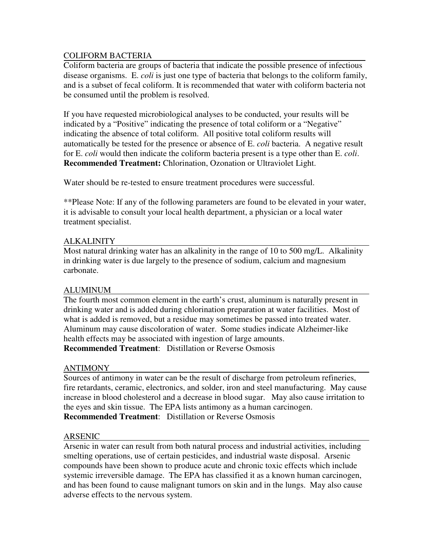## COLIFORM BACTERIA

Coliform bacteria are groups of bacteria that indicate the possible presence of infectious disease organisms. E. *coli* is just one type of bacteria that belongs to the coliform family, and is a subset of fecal coliform. It is recommended that water with coliform bacteria not be consumed until the problem is resolved.

If you have requested microbiological analyses to be conducted, your results will be indicated by a "Positive" indicating the presence of total coliform or a "Negative" indicating the absence of total coliform. All positive total coliform results will automatically be tested for the presence or absence of E. *coli* bacteria. A negative result for E. *coli* would then indicate the coliform bacteria present is a type other than E. *coli*. **Recommended Treatment:** Chlorination, Ozonation or Ultraviolet Light.

Water should be re-tested to ensure treatment procedures were successful.

\*\*Please Note: If any of the following parameters are found to be elevated in your water, it is advisable to consult your local health department, a physician or a local water treatment specialist.

## ALKALINITY

Most natural drinking water has an alkalinity in the range of 10 to 500 mg/L. Alkalinity in drinking water is due largely to the presence of sodium, calcium and magnesium carbonate.

# ALUMINUM

The fourth most common element in the earth's crust, aluminum is naturally present in drinking water and is added during chlorination preparation at water facilities. Most of what is added is removed, but a residue may sometimes be passed into treated water. Aluminum may cause discoloration of water. Some studies indicate Alzheimer-like health effects may be associated with ingestion of large amounts. **Recommended Treatment**: Distillation or Reverse Osmosis

#### ANTIMONY

Sources of antimony in water can be the result of discharge from petroleum refineries, fire retardants, ceramic, electronics, and solder, iron and steel manufacturing. May cause increase in blood cholesterol and a decrease in blood sugar. May also cause irritation to the eyes and skin tissue. The EPA lists antimony as a human carcinogen. **Recommended Treatment**: Distillation or Reverse Osmosis

#### ARSENIC

Arsenic in water can result from both natural process and industrial activities, including smelting operations, use of certain pesticides, and industrial waste disposal. Arsenic compounds have been shown to produce acute and chronic toxic effects which include systemic irreversible damage. The EPA has classified it as a known human carcinogen, and has been found to cause malignant tumors on skin and in the lungs. May also cause adverse effects to the nervous system.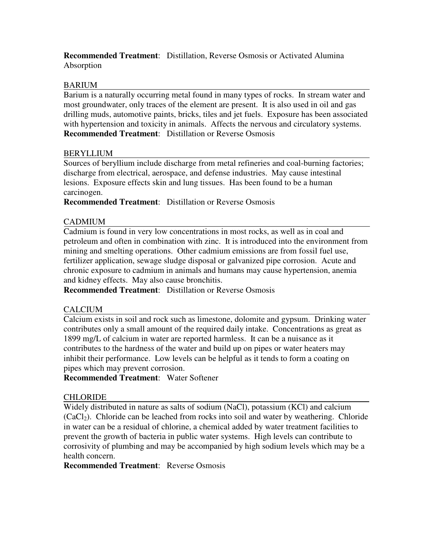## **Recommended Treatment**: Distillation, Reverse Osmosis or Activated Alumina Absorption

#### BARIUM

Barium is a naturally occurring metal found in many types of rocks. In stream water and most groundwater, only traces of the element are present. It is also used in oil and gas drilling muds, automotive paints, bricks, tiles and jet fuels. Exposure has been associated with hypertension and toxicity in animals. Affects the nervous and circulatory systems. **Recommended Treatment**: Distillation or Reverse Osmosis

## BERYLLIUM

Sources of beryllium include discharge from metal refineries and coal-burning factories; discharge from electrical, aerospace, and defense industries. May cause intestinal lesions. Exposure effects skin and lung tissues. Has been found to be a human carcinogen.

## **Recommended Treatment**: Distillation or Reverse Osmosis

# CADMIUM

Cadmium is found in very low concentrations in most rocks, as well as in coal and petroleum and often in combination with zinc. It is introduced into the environment from mining and smelting operations. Other cadmium emissions are from fossil fuel use, fertilizer application, sewage sludge disposal or galvanized pipe corrosion. Acute and chronic exposure to cadmium in animals and humans may cause hypertension, anemia and kidney effects. May also cause bronchitis.

**Recommended Treatment**: Distillation or Reverse Osmosis

# CALCIUM

Calcium exists in soil and rock such as limestone, dolomite and gypsum. Drinking water contributes only a small amount of the required daily intake. Concentrations as great as 1899 mg/L of calcium in water are reported harmless. It can be a nuisance as it contributes to the hardness of the water and build up on pipes or water heaters may inhibit their performance. Low levels can be helpful as it tends to form a coating on pipes which may prevent corrosion.

**Recommended Treatment**: Water Softener

# **CHLORIDE**

Widely distributed in nature as salts of sodium (NaCl), potassium (KCl) and calcium  $(CaCl<sub>2</sub>)$ . Chloride can be leached from rocks into soil and water by weathering. Chloride in water can be a residual of chlorine, a chemical added by water treatment facilities to prevent the growth of bacteria in public water systems. High levels can contribute to corrosivity of plumbing and may be accompanied by high sodium levels which may be a health concern.

**Recommended Treatment**: Reverse Osmosis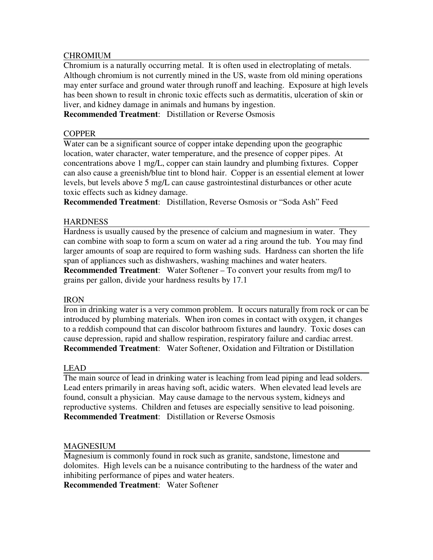#### **CHROMIUM**

Chromium is a naturally occurring metal. It is often used in electroplating of metals. Although chromium is not currently mined in the US, waste from old mining operations may enter surface and ground water through runoff and leaching. Exposure at high levels has been shown to result in chronic toxic effects such as dermatitis, ulceration of skin or liver, and kidney damage in animals and humans by ingestion.

**Recommended Treatment**: Distillation or Reverse Osmosis

#### **COPPER**

Water can be a significant source of copper intake depending upon the geographic location, water character, water temperature, and the presence of copper pipes. At concentrations above 1 mg/L, copper can stain laundry and plumbing fixtures. Copper can also cause a greenish/blue tint to blond hair. Copper is an essential element at lower levels, but levels above 5 mg/L can cause gastrointestinal disturbances or other acute toxic effects such as kidney damage.

**Recommended Treatment**: Distillation, Reverse Osmosis or "Soda Ash" Feed

## **HARDNESS**

Hardness is usually caused by the presence of calcium and magnesium in water. They can combine with soap to form a scum on water ad a ring around the tub. You may find larger amounts of soap are required to form washing suds. Hardness can shorten the life span of appliances such as dishwashers, washing machines and water heaters. **Recommended Treatment**: Water Softener – To convert your results from mg/l to grains per gallon, divide your hardness results by 17.1

#### IRON

Iron in drinking water is a very common problem. It occurs naturally from rock or can be introduced by plumbing materials. When iron comes in contact with oxygen, it changes to a reddish compound that can discolor bathroom fixtures and laundry. Toxic doses can cause depression, rapid and shallow respiration, respiratory failure and cardiac arrest. **Recommended Treatment**: Water Softener, Oxidation and Filtration or Distillation

#### LEAD

The main source of lead in drinking water is leaching from lead piping and lead solders. Lead enters primarily in areas having soft, acidic waters. When elevated lead levels are found, consult a physician. May cause damage to the nervous system, kidneys and reproductive systems. Children and fetuses are especially sensitive to lead poisoning. **Recommended Treatment**: Distillation or Reverse Osmosis

#### MAGNESIUM

Magnesium is commonly found in rock such as granite, sandstone, limestone and dolomites. High levels can be a nuisance contributing to the hardness of the water and inhibiting performance of pipes and water heaters.

**Recommended Treatment**: Water Softener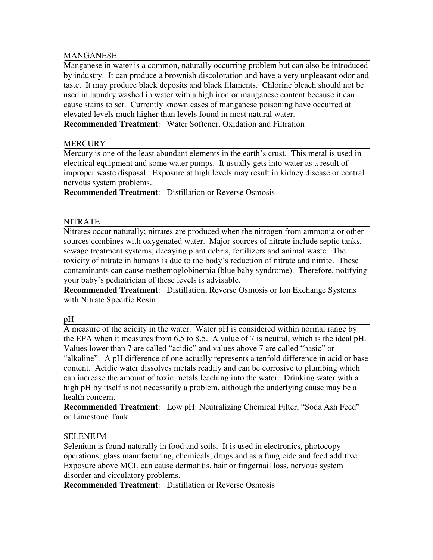#### MANGANESE

Manganese in water is a common, naturally occurring problem but can also be introduced by industry. It can produce a brownish discoloration and have a very unpleasant odor and taste. It may produce black deposits and black filaments. Chlorine bleach should not be used in laundry washed in water with a high iron or manganese content because it can cause stains to set. Currently known cases of manganese poisoning have occurred at elevated levels much higher than levels found in most natural water. **Recommended Treatment**: Water Softener, Oxidation and Filtration

#### **MERCURY**

Mercury is one of the least abundant elements in the earth's crust. This metal is used in electrical equipment and some water pumps. It usually gets into water as a result of improper waste disposal. Exposure at high levels may result in kidney disease or central nervous system problems.

**Recommended Treatment**: Distillation or Reverse Osmosis

#### NITRATE

Nitrates occur naturally; nitrates are produced when the nitrogen from ammonia or other sources combines with oxygenated water. Major sources of nitrate include septic tanks, sewage treatment systems, decaying plant debris, fertilizers and animal waste. The toxicity of nitrate in humans is due to the body's reduction of nitrate and nitrite. These contaminants can cause methemoglobinemia (blue baby syndrome). Therefore, notifying your baby's pediatrician of these levels is advisable.

**Recommended Treatment**: Distillation, Reverse Osmosis or Ion Exchange Systems with Nitrate Specific Resin

#### pH

A measure of the acidity in the water. Water pH is considered within normal range by the EPA when it measures from 6.5 to 8.5. A value of 7 is neutral, which is the ideal pH. Values lower than 7 are called "acidic" and values above 7 are called "basic" or "alkaline". A pH difference of one actually represents a tenfold difference in acid or base content. Acidic water dissolves metals readily and can be corrosive to plumbing which can increase the amount of toxic metals leaching into the water. Drinking water with a high pH by itself is not necessarily a problem, although the underlying cause may be a health concern.

**Recommended Treatment**: Low pH: Neutralizing Chemical Filter, "Soda Ash Feed" or Limestone Tank

#### SELENIUM

Selenium is found naturally in food and soils. It is used in electronics, photocopy operations, glass manufacturing, chemicals, drugs and as a fungicide and feed additive. Exposure above MCL can cause dermatitis, hair or fingernail loss, nervous system disorder and circulatory problems.

**Recommended Treatment**: Distillation or Reverse Osmosis